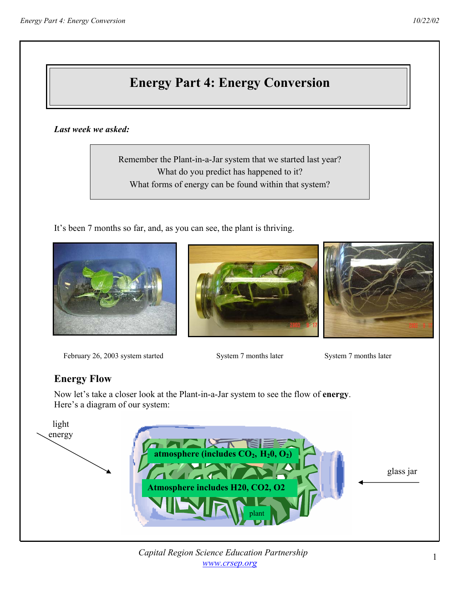# **Energy Part 4: Energy Conversion**

#### *Last week we asked:*

Remember the Plant-in-a-Jar system that we started last year? What do you predict has happened to it? What forms of energy can be found within that system?

It's been 7 months so far, and, as you can see, the plant is thriving.



February 26, 2003 system started System 7 months later System 7 months later





### **Energy Flow**

Now let's take a closer look at the Plant-in-a-Jar system to see the flow of **energy**. Here's a diagram of our system:

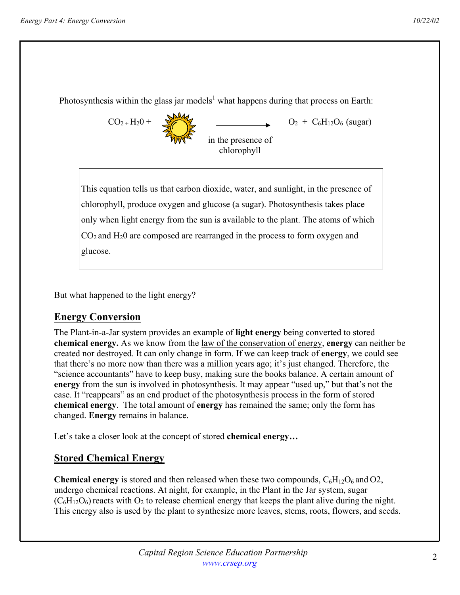Photosynthesis within the glass jar models<sup>1</sup> what happens during that process on Earth:

 $CO_{2} + H_{2}0 + \frac{OM_{2}}{2}$   $O_{2} + C_{6}H_{12}O_{6}$  (sugar)

in the presence of chlorophyll

This equation tells us that carbon dioxide, water, and sunlight, in the presence of chlorophyll, produce oxygen and glucose (a sugar). Photosynthesis takes place only when light energy from the sun is available to the plant. The atoms of which  $CO<sub>2</sub>$  and  $H<sub>2</sub>0$  are composed are rearranged in the process to form oxygen and glucose.

But what happened to the light energy?

### **Energy Conversion**

The Plant-in-a-Jar system provides an example of **light energy** being converted to stored **chemical energy.** As we know from the law of the conservation of energy, **energy** can neither be created nor destroyed. It can only change in form. If we can keep track of **energy**, we could see that there's no more now than there was a million years ago; it's just changed. Therefore, the "science accountants" have to keep busy, making sure the books balance. A certain amount of **energy** from the sun is involved in photosynthesis. It may appear "used up," but that's not the case. It "reappears" as an end product of the photosynthesis process in the form of stored **chemical energy**. The total amount of **energy** has remained the same; only the form has changed. **Energy** remains in balance.

Let's take a closer look at the concept of stored **chemical energy…** 

## **Stored Chemical Energy**

**Chemical energy** is stored and then released when these two compounds,  $C_6H_{12}O_6$  and O2, undergo chemical reactions. At night, for example, in the Plant in the Jar system, sugar  $(C_6H_1, Q_6)$  reacts with  $Q_2$  to release chemical energy that keeps the plant alive during the night. This energy also is used by the plant to synthesize more leaves, stems, roots, flowers, and seeds.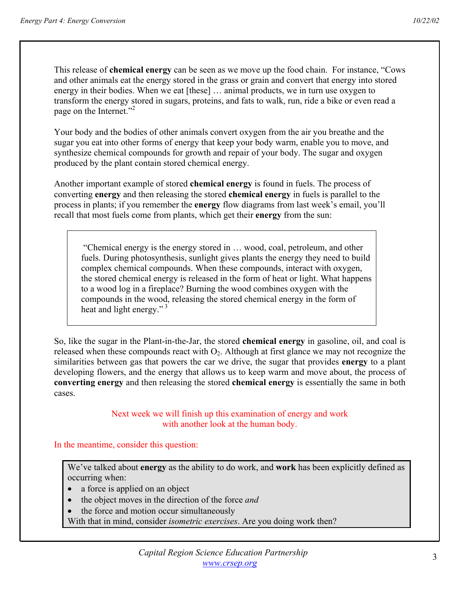This release of **chemical energy** can be seen as we move up the food chain. For instance, "Cows and other animals eat the energy stored in the grass or grain and convert that energy into stored energy in their bodies. When we eat [these] … animal products, we in turn use oxygen to transform the energy stored in sugars, proteins, and fats to walk, run, ride a bike or even read a page on the Internet."2

Your body and the bodies of other animals convert oxygen from the air you breathe and the sugar you eat into other forms of energy that keep your body warm, enable you to move, and synthesize chemical compounds for growth and repair of your body. The sugar and oxygen produced by the plant contain stored chemical energy.

Another important example of stored **chemical energy** is found in fuels. The process of converting **energy** and then releasing the stored **chemical energy** in fuels is parallel to the process in plants; if you remember the **energy** flow diagrams from last week's email, you'll recall that most fuels come from plants, which get their **energy** from the sun:

"Chemical energy is the energy stored in … wood, coal, petroleum, and other fuels. During photosynthesis, sunlight gives plants the energy they need to build complex chemical compounds. When these compounds, interact with oxygen, the stored chemical energy is released in the form of heat or light. What happens to a wood log in a fireplace? Burning the wood combines oxygen with the compounds in the wood, releasing the stored chemical energy in the form of heat and light energy."<sup>3</sup>

So, like the sugar in the Plant-in-the-Jar, the stored **chemical energy** in gasoline, oil, and coal is released when these compounds react with  $O_2$ . Although at first glance we may not recognize the similarities between gas that powers the car we drive, the sugar that provides **energy** to a plant developing flowers, and the energy that allows us to keep warm and move about, the process of **converting energy** and then releasing the stored **chemical energy** is essentially the same in both cases.

> Next week we will finish up this examination of energy and work with another look at the human body.

In the meantime, consider this question:

We've talked about **energy** as the ability to do work, and **work** has been explicitly defined as occurring when:

- a force is applied on an object
- the object moves in the direction of the force *and*
- the force and motion occur simultaneously
- With that in mind, consider *isometric exercises*. Are you doing work then?